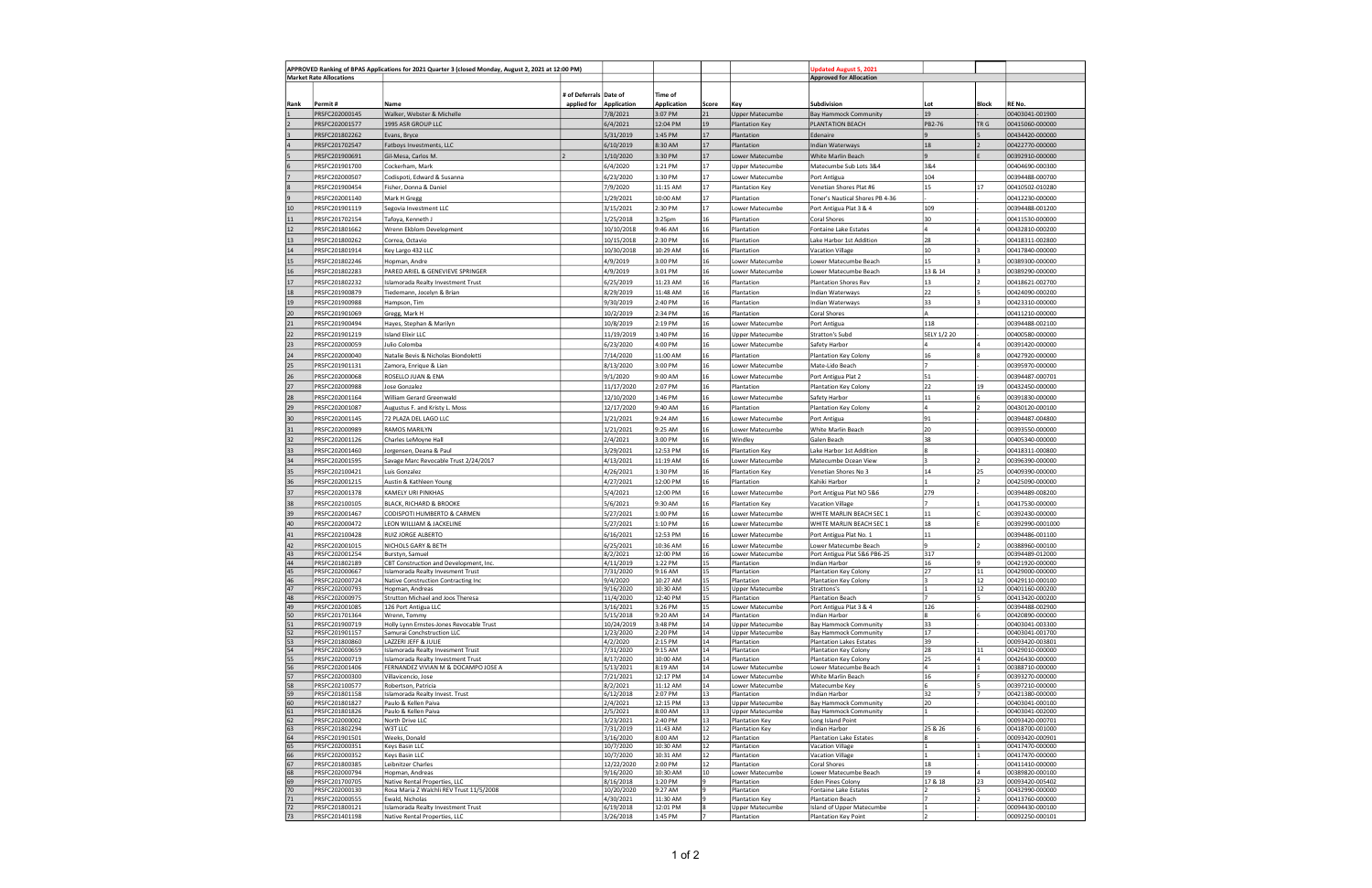| APPROVED Ranking of BPAS Applications for 2021 Quarter 3 (closed Monday, August 2, 2021 at 12:00 PM)<br><b>Market Rate Allocations</b> |                                  |                                                                        |                                       |                         |                               |           | Jpdated August 5, 2021                           |                                                              |             |          |                                    |
|----------------------------------------------------------------------------------------------------------------------------------------|----------------------------------|------------------------------------------------------------------------|---------------------------------------|-------------------------|-------------------------------|-----------|--------------------------------------------------|--------------------------------------------------------------|-------------|----------|------------------------------------|
|                                                                                                                                        |                                  |                                                                        |                                       |                         |                               |           |                                                  | <b>Approved for Allocation</b>                               |             |          |                                    |
|                                                                                                                                        |                                  |                                                                        |                                       |                         |                               |           |                                                  |                                                              |             |          |                                    |
| Rank                                                                                                                                   | Permit#                          | Name                                                                   | # of Deferrals Date of<br>applied for | <b>Application</b>      | Time of<br><b>Application</b> | Score     | Key                                              | Subdivision                                                  | Lot         | Block    | RE No.                             |
|                                                                                                                                        | PRSFC202000145                   | Walker, Webster & Michelle                                             |                                       | 7/8/2021                | 3:07 PM                       | 21        | <b>Upper Matecumbe</b>                           | Bay Hammock Community                                        | 19          |          | 00403041-001900                    |
|                                                                                                                                        | PRSFC202001577                   | 1995 ASR GROUP LLC                                                     |                                       | 6/4/2021                | 12:04 PM                      | 19        | <b>Plantation Key</b>                            | PLANTATION BEACH                                             | PB2-76      | TR G     | 00415060-000000                    |
| 3                                                                                                                                      | PRSFC201802262                   | Evans, Bryce                                                           |                                       | 5/31/2019               | 1:45 PM                       | 17        | Plantation                                       | Edenaire                                                     |             |          | 00434420-000000                    |
|                                                                                                                                        | PRSFC201702547                   | Fatboys Investments, LLC                                               |                                       | 6/10/2019               | 8:30 AM                       | 17        | Plantation                                       | Indian Waterways                                             | 18          |          | 00422770-000000                    |
| 5                                                                                                                                      | PRSFC201900691                   | Gil-Mesa, Carlos M.                                                    |                                       | 1/10/2020               | 3:30 PM                       | 17        | Lower Matecumbe                                  | White Marlin Beach                                           |             |          | 00392910-000000                    |
|                                                                                                                                        | PRSFC201901700                   | Cockerham, Mark                                                        |                                       | 6/4/2020                | 1:21 PM                       | 17        | <b>Upper Matecumbe</b>                           | Matecumbe Sub Lots 3&4                                       | 3&4         |          | 00404690-000300                    |
|                                                                                                                                        | PRSFC202000507                   | Codispoti, Edward & Susanna                                            |                                       | 6/23/2020               | 1:30 PM                       | 17        | Lower Matecumbe                                  | Port Antigua                                                 | 104         |          | 00394488-000700                    |
|                                                                                                                                        | PRSFC201900454                   | Fisher, Donna & Daniel                                                 |                                       | 7/9/2020                | 11:15 AM                      | 17        | Plantation Key                                   | Venetian Shores Plat #6                                      | 15          | 17       | 00410502-010280                    |
| $\mathbf{q}$                                                                                                                           | PRSFC202001140                   | Mark H Gregg                                                           |                                       | 1/29/2021               | 10:00 AM                      | 17        | Plantation                                       | Toner's Nautical Shores PB 4-36                              |             |          | 00412230-000000                    |
| 10                                                                                                                                     | PRSFC201901119                   | Segovia Investment LLC                                                 |                                       | 3/15/2021               | 2:30 PM                       | 17        | Lower Matecumbe                                  | Port Antigua Plat 3 & 4                                      | 109         |          | 00394488-001200                    |
| $11\,$                                                                                                                                 | PRSFC201702154                   | Tafoya, Kenneth J                                                      |                                       | 1/25/2018               | 3:25 <sub>pm</sub>            | 16        | Plantation                                       | Coral Shores                                                 | 30          |          | 00411530-000000                    |
| 12                                                                                                                                     | PRSFC201801662                   | Wrenn Ekblom Development                                               |                                       | 10/10/2018              | 9:46 AM                       | 16        | Plantation                                       | Fontaine Lake Estates                                        |             |          | 00432810-000200                    |
| 13                                                                                                                                     | PRSFC201800262                   | Correa, Octavio                                                        |                                       | 10/15/2018              | 2:30 PM                       | 16        | Plantation                                       | Lake Harbor 1st Addition                                     | 28          |          | 00418311-002800                    |
| 14                                                                                                                                     | PRSFC201801914                   | Key Largo 432 LLC                                                      |                                       | 10/30/2018              | 10:29 AM                      | 16        | Plantation                                       | <b>Vacation Village</b>                                      | 10          |          | 00417840-000000                    |
| 15                                                                                                                                     | PRSFC201802246                   | Hopman, Andre                                                          |                                       | 4/9/2019                | 3:00 PM                       | 16        | Lower Matecumbe                                  | Lower Matecumbe Beach                                        | 15          |          | 00389300-000000                    |
| 16                                                                                                                                     | PRSFC201802283                   | PARED ARIEL & GENEVIEVE SPRINGER                                       |                                       | 4/9/2019                | 3:01 PM                       | 16        | Lower Matecumbe                                  | Lower Matecumbe Beach                                        | 13 & 14     |          | 00389290-000000                    |
| $17\,$                                                                                                                                 | PRSFC201802232                   | Islamorada Realty Investment Trust                                     |                                       | 6/25/2019               | 11:23 AM                      | 16        | Plantation                                       | <b>Plantation Shores Rev</b>                                 | 13          |          | 00418621-002700                    |
| 18                                                                                                                                     | PRSFC201900879                   | Tiedemann, Jocelyn & Brian                                             |                                       | 8/29/2019               | 11:48 AM                      | 16        | Plantation                                       | Indian Waterways                                             | 22          |          | 00424090-000200                    |
| 19                                                                                                                                     | PRSFC201900988                   | Hampson, Tim                                                           |                                       | 9/30/2019               | 2:40 PM                       | 16        | Plantation                                       | Indian Waterways                                             | 33          |          | 00423310-000000                    |
| 20                                                                                                                                     | PRSFC201901069                   | Gregg, Mark H                                                          |                                       | 10/2/2019               | 2:34 PM                       | 16        | Plantation                                       | Coral Shores                                                 | A           |          | 00411210-000000                    |
| 21                                                                                                                                     | PRSFC201900494                   | Hayes, Stephan & Marilyn                                               |                                       | 10/8/2019               | 2:19 PM                       | 16        | Lower Matecumbe                                  | Port Antigua                                                 | 118         |          | 00394488-002100                    |
| 22                                                                                                                                     | PRSFC201901219                   | <b>Island Elixir LLC</b>                                               |                                       | 11/19/2019              | 1:40 PM                       | 16        | <b>Upper Matecumbe</b>                           | Stratton's Subd                                              | SELY 1/2 20 |          | 00400580-000000                    |
| 23                                                                                                                                     | PRSFC202000059                   | Julio Colomba                                                          |                                       | 6/23/2020               | 4:00 PM                       | 16        | Lower Matecumbe                                  | Safety Harbor                                                |             |          | 00391420-000000                    |
| 24                                                                                                                                     | PRSFC202000040                   | Natalie Bevis & Nicholas Biondoletti                                   |                                       | 7/14/2020               | 11:00 AM                      | 16        | Plantation                                       | <b>Plantation Key Colony</b>                                 | 16          |          | 00427920-000000                    |
| 25                                                                                                                                     | PRSFC201901131                   | Zamora, Enrique & Lian                                                 |                                       | 8/13/2020               | 3:00 PM                       | 16        | Lower Matecumbe                                  | Mate-Lido Beach                                              |             |          | 00395970-000000                    |
| 26                                                                                                                                     | PRSFC202000068                   | ROSELLO JUAN & ENA                                                     |                                       | 9/1/2020                | 9:00 AM                       | 16        | Lower Matecumbe                                  | Port Antigua Plat 2                                          | 51          |          | 00394487-000701                    |
| 27                                                                                                                                     | PRSFC202000988                   | Jose Gonzalez                                                          |                                       | 11/17/2020              | 2:07 PM                       | 16        | Plantation                                       | Plantation Key Colony                                        | 22          | 19       | 00432450-000000                    |
| 28                                                                                                                                     | PRSFC202001164                   | William Gerard Greenwald                                               |                                       | 12/10/2020              | 1:46 PM                       | 16        | Lower Matecumbe                                  | Safety Harbor                                                | 11          |          | 00391830-000000                    |
| 29                                                                                                                                     | PRSFC202001087                   | Augustus F. and Kristy L. Moss                                         |                                       | 12/17/2020              | 9:40 AM                       | 16        | Plantation                                       | <b>Plantation Key Colony</b>                                 |             |          | 00430120-000100                    |
| 30                                                                                                                                     | PRSFC202001145                   | 72 PLAZA DEL LAGO LLC                                                  |                                       | 1/21/2021               | 9:24 AM                       | 16        | Lower Matecumbe                                  | Port Antigua                                                 | 91          |          | 00394487-004800                    |
| 31                                                                                                                                     | PRSFC202000989                   | RAMOS MARILYN                                                          |                                       | 1/21/2021               | 9:25 AM                       | 16        | Lower Matecumbe                                  | White Marlin Beach                                           | 20          |          | 00393550-000000                    |
| 32                                                                                                                                     | PRSFC202001126                   | Charles LeMoyne Hall                                                   |                                       | 2/4/2021                | 3:00 PM                       | 16        | Windley                                          | Galen Beach                                                  | 38          |          | 00405340-000000                    |
| 33                                                                                                                                     | PRSFC202001460                   | Jorgensen, Deana & Paul                                                |                                       | 3/29/2021               | 12:53 PM                      | 16        | Plantation Key                                   | Lake Harbor 1st Addition                                     |             |          | 00418311-000800                    |
| 34                                                                                                                                     | PRSFC202001595                   | Savage Marc Revocable Trust 2/24/2017                                  |                                       | 4/13/2021               | 11:19 AM                      | 16        | Lower Matecumbe                                  | Matecumbe Ocean View                                         |             |          | 00396390-000000                    |
| 35                                                                                                                                     | PRSFC202100421                   | Luis Gonzalez                                                          |                                       | 4/26/2021               | 1:30 PM                       | 16<br>16  | <b>Plantation Key</b>                            | Venetian Shores No 3                                         | 14          | 25       | 00409390-000000                    |
| 36<br>37                                                                                                                               | PRSFC202001215                   | Austin & Kathleen Young<br>KAMELY URI PINKHAS                          |                                       | 4/27/2021               | 12:00 PM<br>12:00 PM          | 16        | Plantation                                       | Kahiki Harbor                                                | 279         |          | 00425090-000000                    |
|                                                                                                                                        | PRSFC202001378                   |                                                                        |                                       | 5/4/2021                |                               |           | Lower Matecumbe                                  | Port Antigua Plat NO 5&6                                     |             |          | 00394489-008200                    |
| 38<br>39                                                                                                                               | PRSFC202100105<br>PRSFC202001467 | <b>BLACK, RICHARD &amp; BROOKE</b><br>CODISPOTI HUMBERTO & CARMEN      |                                       | 5/6/2021                | 9:30 AM<br>1:00 PM            | 16<br>16  | Plantation Key<br>Lower Matecumbe                | <b>Vacation Village</b><br>WHITE MARLIN BEACH SEC 1          | 11          |          | 00417530-000000<br>00392430-000000 |
| 40                                                                                                                                     | PRSFC202000472                   | LEON WILLIAM & JACKELINE                                               |                                       | 5/27/2021<br>5/27/2021  | 1:10 PM                       | 16        | Lower Matecumbe                                  | WHITE MARLIN BEACH SEC 1                                     | 18          |          | 00392990-0001000                   |
| 41                                                                                                                                     | PRSFC202100428                   | RUIZ JORGE ALBERTO                                                     |                                       | 6/16/2021               | 12:53 PM                      | 16        | Lower Matecumbe                                  | Port Antigua Plat No. 1                                      | 11          |          | 00394486-001100                    |
| 42                                                                                                                                     | PRSFC202001015                   | NICHOLS GARY & BETH                                                    |                                       | 6/25/2021               | 10:36 AM                      | 16        | Lower Matecumbe                                  | Lower Matecumbe Beach                                        |             |          | 00388960-000100                    |
| 43                                                                                                                                     | PRSFC202001254                   | Burstyn, Samuel                                                        |                                       | 8/2/2021                | 12:00 PM                      | 16        | Lower Matecumbe                                  | Port Antigua Plat 5&6 PB6-25                                 | 317         |          | 00394489-012000                    |
| 44                                                                                                                                     | PRSFC201802189                   | CBT Construction and Development, Inc.                                 |                                       | 4/11/2019               | 1:22 PM                       | 15        | Plantation                                       | Indian Harbor                                                | 16          | q        | 00421920-000000                    |
| 45                                                                                                                                     | PRSFC202000667                   | Islamorada Realty Invesment Trust                                      |                                       | 7/31/2020               | 9:16 AM                       | 15        | Plantation                                       | Plantation Key Colony                                        | 27          | 11       | 00429000-000000                    |
| 46<br>47                                                                                                                               | PRSFC202000724<br>PRSFC202000793 | Native Construction Contracting Inc<br>Hopman, Andreas                 |                                       | 9/4/2020<br>9/16/2020   | 10:27 AM<br>10:30 AM          | 15<br>15  | Plantation<br><b>Upper Matecumbe</b>             | Plantation Key Colony<br>Strattons's                         |             | 12<br>12 | 00429110-000100<br>00401160-000200 |
| 48                                                                                                                                     | PRSFC202000975                   | Strutton Michael and Joos Theresa                                      |                                       | 11/4/2020               | 12:40 PM                      | 15        | Plantation                                       | <b>Plantation Beach</b>                                      |             | 5        | 00413420-000200                    |
| 49                                                                                                                                     | PRSFC202001085                   | 126 Port Antigua LLC                                                   |                                       | 3/16/2021               | 3:26 PM                       | 15        | Lower Matecumbe                                  | Port Antigua Plat 3 & 4                                      | 126         |          | 00394488-002900                    |
| 50                                                                                                                                     | PRSFC201701364                   | Wrenn, Tommy                                                           |                                       | 5/15/2018               | 9:20 AM                       | 14        | Plantation                                       | Indian Harbor                                                |             | 6        | 00420890-000000                    |
| 51<br>52                                                                                                                               | PRSFC201900719<br>PRSFC201901157 | Holly Lynn Ernstes-Jones Revocable Trust<br>Samurai Conchstruction LLC |                                       | 10/24/2019<br>1/23/2020 | 3:48 PM<br>2:20 PM            | 14<br>14  | <b>Upper Matecumbe</b><br><b>Upper Matecumbe</b> | <b>Bay Hammock Community</b><br><b>Bay Hammock Community</b> | 33<br>17    |          | 00403041-003300<br>00403041-001700 |
| 53                                                                                                                                     | PRSFC201800860                   | LAZZERI JEFF & JULIE                                                   |                                       | 4/2/2020                | 2:15 PM                       | 14        | Plantation                                       | <b>Plantation Lakes Estates</b>                              | 39          |          | 00093420-003801                    |
| 54                                                                                                                                     | PRSFC202000659                   | Islamorada Realty Invesment Trust                                      |                                       | 7/31/2020               | 9:15 AM                       | 14        | Plantation                                       | Plantation Key Colony                                        | 28          | 11       | 00429010-000000                    |
| 55                                                                                                                                     | PRSFC202000719                   | Islamorada Realty Investment Trust                                     |                                       | 8/17/2020               | 10:00 AM                      | 14        | Plantation                                       | <b>Plantation Key Colony</b>                                 | 25          | 4        | 00426430-000000                    |
| 56                                                                                                                                     | PRSFC202001406                   | FERNANDEZ VIVIAN M & DOCAMPO JOSE A                                    |                                       | 5/13/2021               | 8:19 AM                       | 14        | Lower Matecumbe                                  | Lower Matecumbe Beach                                        | 4           |          | 00388710-000000                    |
| 57<br>58                                                                                                                               | PRSFC202000300<br>PRSFC202100577 | Villavicencio, Jose<br>Robertson, Patricia                             |                                       | 7/21/2021<br>8/2/2021   | 12:17 PM<br>11:12 AM          | 14<br>14  | Lower Matecumbe<br>Lower Matecumbe               | White Marlin Beach<br>Matecumbe Key                          | 16<br>6     |          | 00393270-000000<br>00397210-000000 |
| 59                                                                                                                                     | PRSFC201801158                   | Islamorada Realty Invest. Trust                                        |                                       | 6/12/2018               | 2:07 PM                       | 13        | Plantation                                       | Indian Harbor                                                | 32          | 7        | 00421380-000000                    |
| 60                                                                                                                                     | PRSFC201801827                   | Paulo & Kellen Paiva                                                   |                                       | 2/4/2021                | 12:15 PM                      | 13        | <b>Upper Matecumbe</b>                           | <b>Bay Hammock Community</b>                                 | 20          |          | 00403041-000100                    |
| 61                                                                                                                                     | PRSFC201801826                   | Paulo & Kellen Paiva                                                   |                                       | 2/5/2021                | 8:00 AM                       | 13        | <b>Upper Matecumbe</b>                           | <b>Bay Hammock Community</b>                                 |             |          | 00403041-002000                    |
| 62<br>63                                                                                                                               | PRSFC202000002<br>PRSFC201802294 | North Drive LLC<br>W3T LLC                                             |                                       | 3/23/2021<br>7/31/2019  | 2:40 PM<br>11:43 AM           | 13<br>12  | Plantation Key<br>Plantation Key                 | Long Island Point<br>Indian Harbor                           | 25 & 26     | 6        | 00093420-000701<br>00418700-001000 |
| 64                                                                                                                                     | PRSFC201901501                   | Weeks, Donald                                                          |                                       | 3/16/2020               | 8:00 AM                       | 12        | Plantation                                       | <b>Plantation Lake Estates</b>                               |             |          | 00093420-000901                    |
| 65                                                                                                                                     | PRSFC202000351                   | Keys Basin LLC                                                         |                                       | 10/7/2020               | 10:30 AM                      | 12        | Plantation                                       | Vacation Village                                             |             |          | 00417470-000000                    |
| 66                                                                                                                                     | PRSFC202000352                   | Keys Basin LLC                                                         |                                       | 10/7/2020               | 10:31 AM                      | 12        | Plantation                                       | <b>Vacation Village</b>                                      |             |          | 00417470-000000                    |
| 67<br>68                                                                                                                               | PRSFC201800385                   | Leibnitzer Charles                                                     |                                       | 12/22/2020              | 2:00 PM                       | 12        | Plantation                                       | Coral Shores                                                 | 18<br>19    |          | 00411410-000000                    |
| 69                                                                                                                                     | PRSFC202000794<br>PRSFC201700705 | Hopman, Andreas<br>Native Rental Properties, LLC                       |                                       | 9/16/2020<br>8/16/2018  | 10:30:AM<br>1:20 PM           | 10<br>l 9 | Lower Matecumbe<br>Plantation                    | Lower Matecumbe Beach<br><b>Eden Pines Colony</b>            | 17 & 18     | 23       | 00389820-000100<br>00093420-005402 |
| 70                                                                                                                                     | PRSFC202000130                   | Rosa Maria Z Walchli REV Trust 11/5/2008                               |                                       | 10/20/2020              | 9:27 AM                       | ۱g        | Plantation                                       | Fontaine Lake Estates                                        |             | 5        | 00432990-000000                    |
| $71\,$                                                                                                                                 | PRSFC202000555                   | Ewald, Nicholas                                                        |                                       | 4/30/2021               | 11:30 AM                      |           | <b>Plantation Key</b>                            | <b>Plantation Beach</b>                                      |             |          | 00413760-000000                    |
| 72                                                                                                                                     | PRSFC201800121                   | Islamorada Realty Investment Trust                                     |                                       | 6/19/2018               | 12:01 PM                      | 8         | <b>Upper Matecumbe</b>                           | Island of Upper Matecumbe                                    |             |          | 00094430-000100                    |
| 73                                                                                                                                     | PRSFC201401198                   | Native Rental Properties, LLC                                          |                                       | 3/26/2018               | 1:45 PM                       |           | Plantation                                       | <b>Plantation Key Point</b>                                  |             |          | 00092250-000101                    |

| RE No.                                     |
|--------------------------------------------|
| 00403041-001900                            |
| 00415060-000000                            |
| 00434420-000000                            |
| 00422770-000000                            |
| 00392910-000000                            |
| 00404690-000300<br>00394488-000700         |
| 00410502-010280                            |
| 00412230-000000                            |
| 00394488-001200                            |
| 00411530-000000                            |
| 00432810-000200                            |
| 00418311-002800                            |
| 00417840-000000                            |
| 00389300-000000                            |
| 00389290-000000                            |
| 00418621-002700                            |
| 00424090-000200                            |
| 00423310-000000                            |
| 00411210-000000                            |
| 00394488-002100                            |
| 00400580-000000                            |
| 00391420-000000                            |
| 004 <u>27920-000000</u><br>00395970-000000 |
| 00394487-000701                            |
| 00432450-000000                            |
| 00391830-000000                            |
| 00430120-000100                            |
| 00394487-004800                            |
| 00393550-000000                            |
| 00405340-000000                            |
| 00418311-000800                            |
| 00396390-000000                            |
| 00409390-000000                            |
| 00425090-000000                            |
| 00394489-008200                            |
| 00417530-000000                            |
| 00392430-000000                            |
| 00392990-0001000                           |
| 00394486-001100                            |
| 00388960-000100<br>00394489-012000         |
| 00421920-000000                            |
| υι<br>м<br>,,,<br>JL J-L<br>л              |
| 00429110-000100                            |
| 00401160-000200<br>00413420-000200         |
| 00394488-002900                            |
| 00420890-000000                            |
| 00403041-003300                            |
| 00403041-001700<br>00093420-003801         |
| 00429010-000000                            |
| 00426430-000000                            |
| 00388710-000000                            |
| 00393270-000000<br>00397210-000000         |
| 00421380-000000                            |
| 00403041-000100                            |
| 00403041-002000                            |
| 00093420-000701<br>00418700-001000         |
| 00093420-000901                            |
| 00417470-000000                            |
| 00417470-000000<br>00411410-000000         |
| 00389820-000100                            |
| 00093420-005402                            |
| 00432990-000000                            |
| 00413760-000000<br>00094430-000100         |
| 00092250-000101                            |
|                                            |